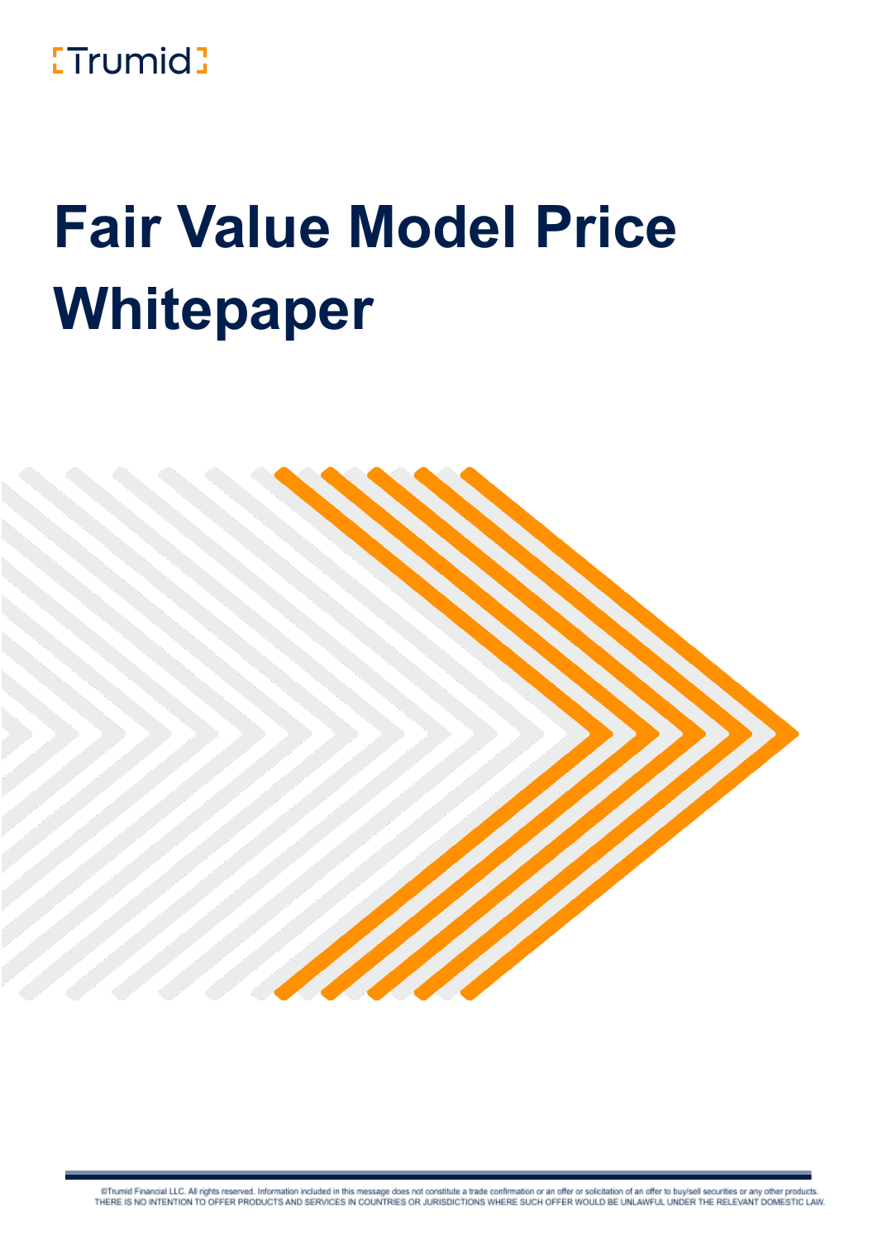## **ETrumid**

# **Fair Value Model Price Whitepaper**



@Trumid Financial LLC. All rights reserved. Information included in this message does not constitute a trade confirmation or an offer or solicitation of an offer to buy/sell securities or any other products. THERE IS NO INTENTION TO OFFER PRODUCTS AND SERVICES IN COUNTRIES OR JURISDICTIONS WHERE SUCH OFFER WOULD BE UNLAWFUL UNDER THE RELEVANT DOMESTIC LAW.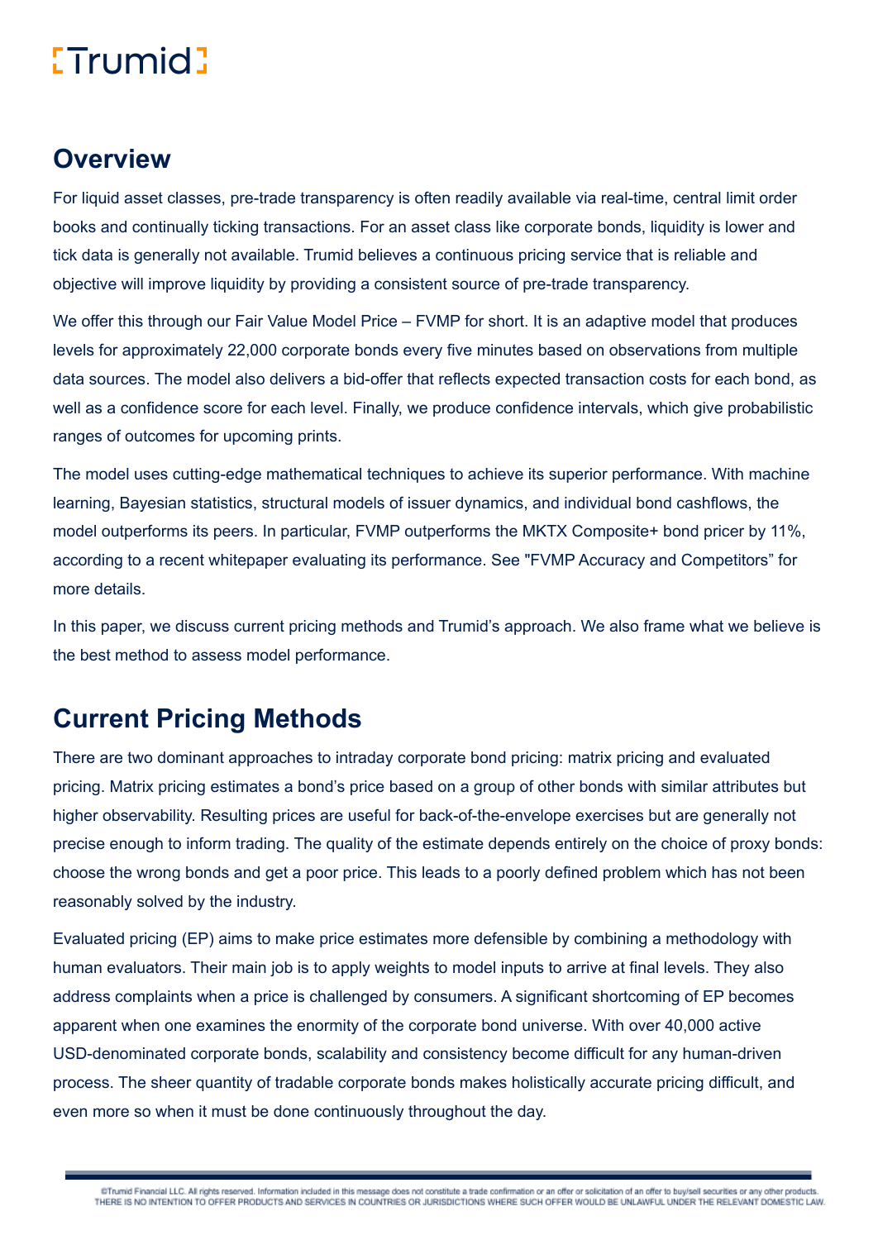#### **Overview**

For liquid asset classes, pre-trade transparency is often readily available via real-time, central limit order books and continually ticking transactions. For an asset class like corporate bonds, liquidity is lower and tick data is generally not available. Trumid believes a continuous pricing service that is reliable and objective will improve liquidity by providing a consistent source of pre-trade transparency.

We offer this through our Fair Value Model Price – FVMP for short. It is an adaptive model that produces levels for approximately 22,000 corporate bonds every five minutes based on observations from multiple data sources. The model also delivers a bid-offer that reflects expected transaction costs for each bond, as well as a confidence score for each level. Finally, we produce confidence intervals, which give probabilistic ranges of outcomes for upcoming prints.

The model uses cutting-edge mathematical techniques to achieve its superior performance. With machine learning, Bayesian statistics, structural models of issuer dynamics, and individual bond cashflows, the model outperforms its peers. In particular, FVMP outperforms the MKTX Composite+ bond pricer by 11%, according to a recent whitepaper evaluating its performance. See "FVMP Accuracy and Competitors" for more details.

In this paper, we discuss current pricing methods and Trumid's approach. We also frame what we believe is the best method to assess model performance.

#### **Current Pricing Methods**

There are two dominant approaches to intraday corporate bond pricing: matrix pricing and evaluated pricing. Matrix pricing estimates a bond's price based on a group of other bonds with similar attributes but higher observability. Resulting prices are useful for back-of-the-envelope exercises but are generally not precise enough to inform trading. The quality of the estimate depends entirely on the choice of proxy bonds: choose the wrong bonds and get a poor price. This leads to a poorly defined problem which has not been reasonably solved by the industry.

Evaluated pricing (EP) aims to make price estimates more defensible by combining a methodology with human evaluators. Their main job is to apply weights to model inputs to arrive at final levels. They also address complaints when a price is challenged by consumers. A significant shortcoming of EP becomes apparent when one examines the enormity of the corporate bond universe. With over 40,000 active USD-denominated corporate bonds, scalability and consistency become difficult for any human-driven process. The sheer quantity of tradable corporate bonds makes holistically accurate pricing difficult, and even more so when it must be done continuously throughout the day.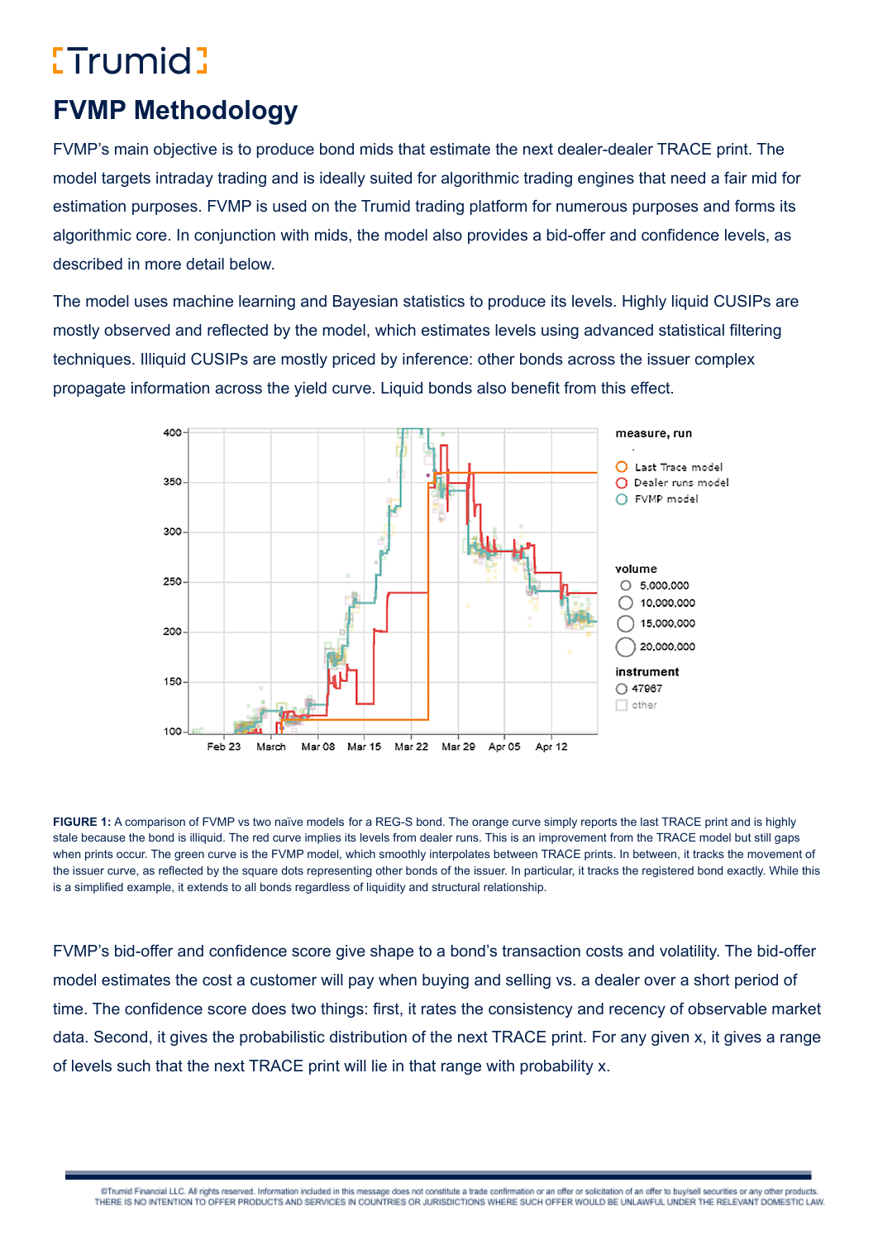### **FVMP Methodology**

FVMP's main objective is to produce bond mids that estimate the next dealer-dealer TRACE print. The model targets intraday trading and is ideally suited for algorithmic trading engines that need a fair mid for estimation purposes. FVMP is used on the Trumid trading platform for numerous purposes and forms its algorithmic core. In conjunction with mids, the model also provides a bid-offer and confidence levels, as described in more detail below.

The model uses machine learning and Bayesian statistics to produce its levels. Highly liquid CUSIPs are mostly observed and reflected by the model, which estimates levels using advanced statistical filtering techniques. Illiquid CUSIPs are mostly priced by inference: other bonds across the issuer complex propagate information across the yield curve. Liquid bonds also benefit from this effect.



**FIGURE 1:** A comparison of FVMP vs two naïve models for a REG-S bond. The orange curve simply reports the last TRACE print and is highly stale because the bond is illiquid. The red curve implies its levels from dealer runs. This is an improvement from the TRACE model but still gaps when prints occur. The green curve is the FVMP model, which smoothly interpolates between TRACE prints. In between, it tracks the movement of the issuer curve, as reflected by the square dots representing other bonds of the issuer. In particular, it tracks the registered bond exactly. While this is a simplified example, it extends to all bonds regardless of liquidity and structural relationship.

FVMP's bid-offer and confidence score give shape to a bond's transaction costs and volatility. The bid-offer model estimates the cost a customer will pay when buying and selling vs. a dealer over a short period of time. The confidence score does two things: first, it rates the consistency and recency of observable market data. Second, it gives the probabilistic distribution of the next TRACE print. For any given x, it gives a range of levels such that the next TRACE print will lie in that range with probability x.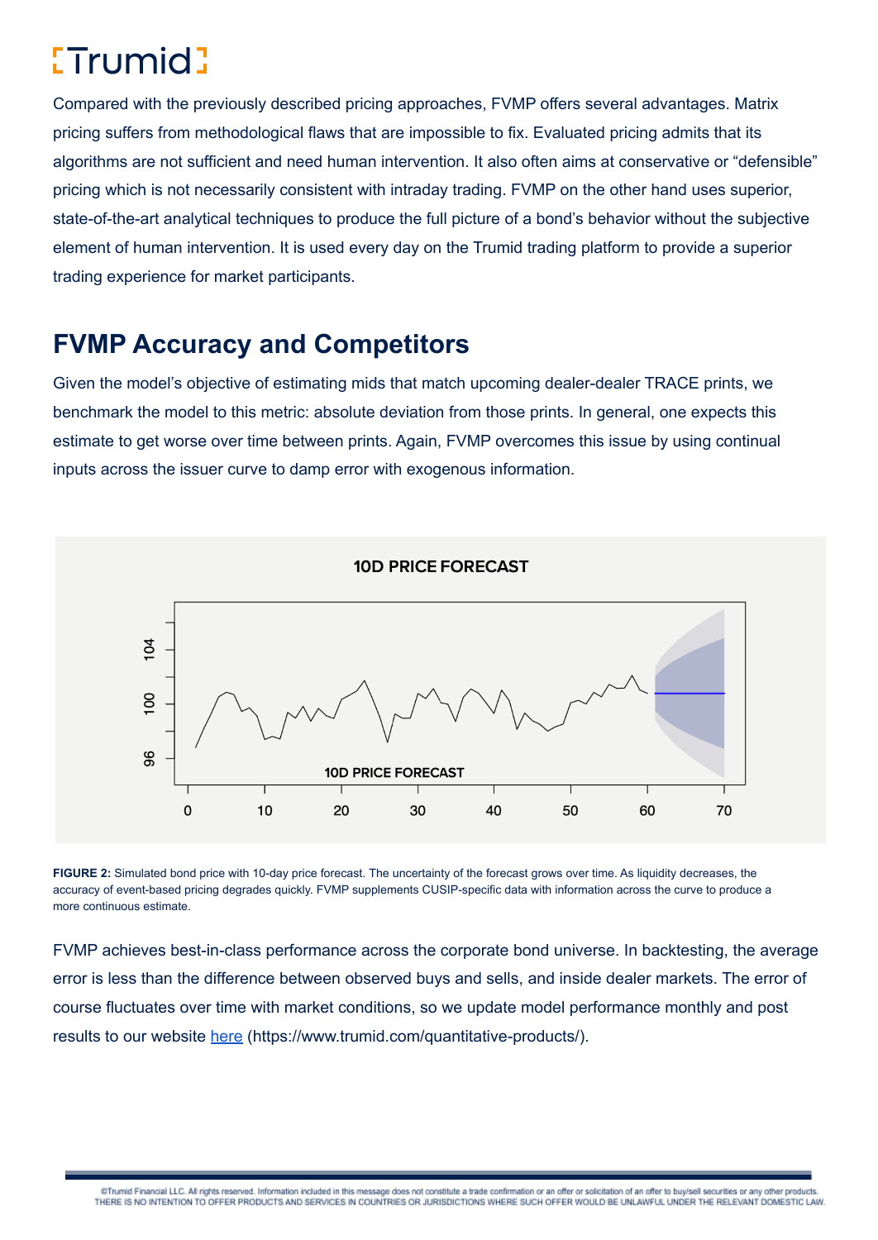Compared with the previously described pricing approaches, FVMP offers several advantages. Matrix pricing suffers from methodological flaws that are impossible to fix. Evaluated pricing admits that its algorithms are not sufficient and need human intervention. It also often aims at conservative or "defensible" pricing which is not necessarily consistent with intraday trading. FVMP on the other hand uses superior, state-of-the-art analytical techniques to produce the full picture of a bond's behavior without the subjective element of human intervention. It is used every day on the Trumid trading platform to provide a superior trading experience for market participants.

#### **FVMP Accuracy and Competitors**

Given the model's objective of estimating mids that match upcoming dealer-dealer TRACE prints, we benchmark the model to this metric: absolute deviation from those prints. In general, one expects this estimate to get worse over time between prints. Again, FVMP overcomes this issue by using continual inputs across the issuer curve to damp error with exogenous information.



**FIGURE 2:** Simulated bond price with 10-day price forecast. The uncertainty of the forecast grows over time. As liquidity decreases, the accuracy of event-based pricing degrades quickly. FVMP supplements CUSIP-specific data with information across the curve to produce a more continuous estimate.

FVMP achieves best-in-class performance across the corporate bond universe. In backtesting, the average error is less than the difference between observed buys and sells, and inside dealer markets. The error of course fluctuates over time with market conditions, so we update model performance monthly and post results to our website [here](https://www.trumid.com/quantitative-products/) (https://www.trumid.com/quantitative-products/).